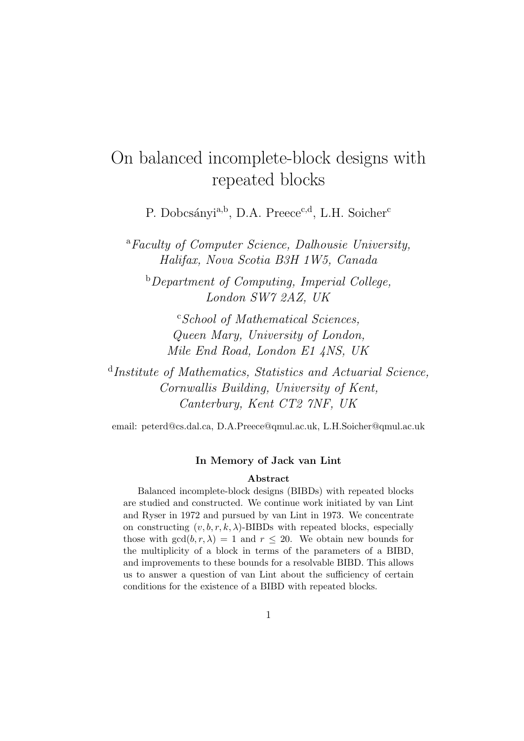# On balanced incomplete-block designs with repeated blocks

P. Dobcsányi<sup>a,b</sup>, D.A. Preece<sup>c,d</sup>, L.H. Soicher<sup>c</sup>

<sup>a</sup>Faculty of Computer Science, Dalhousie University, Halifax, Nova Scotia B3H 1W5, Canada

 $b$  Department of Computing, Imperial College, London SW7 2AZ, UK

<sup>c</sup>School of Mathematical Sciences, Queen Mary, University of London, Mile End Road, London E1 4NS, UK

<sup>d</sup>Institute of Mathematics, Statistics and Actuarial Science, Cornwallis Building, University of Kent, Canterbury, Kent CT2 7NF, UK

email: peterd@cs.dal.ca, D.A.Preece@qmul.ac.uk, L.H.Soicher@qmul.ac.uk

### In Memory of Jack van Lint

#### Abstract

Balanced incomplete-block designs (BIBDs) with repeated blocks are studied and constructed. We continue work initiated by van Lint and Ryser in 1972 and pursued by van Lint in 1973. We concentrate on constructing  $(v, b, r, k, \lambda)$ -BIBDs with repeated blocks, especially those with  $gcd(b, r, \lambda) = 1$  and  $r \leq 20$ . We obtain new bounds for the multiplicity of a block in terms of the parameters of a BIBD, and improvements to these bounds for a resolvable BIBD. This allows us to answer a question of van Lint about the sufficiency of certain conditions for the existence of a BIBD with repeated blocks.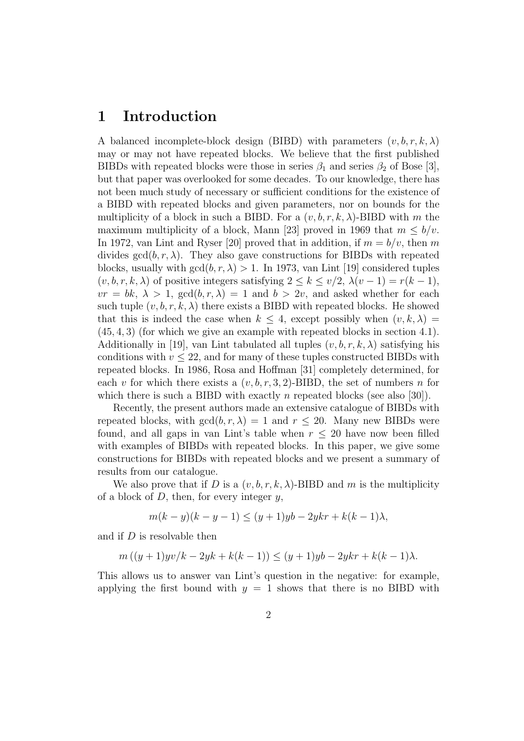# 1 Introduction

A balanced incomplete-block design (BIBD) with parameters  $(v, b, r, k, \lambda)$ may or may not have repeated blocks. We believe that the first published BIBDs with repeated blocks were those in series  $\beta_1$  and series  $\beta_2$  of Bose [3], but that paper was overlooked for some decades. To our knowledge, there has not been much study of necessary or sufficient conditions for the existence of a BIBD with repeated blocks and given parameters, nor on bounds for the multiplicity of a block in such a BIBD. For a  $(v, b, r, k, \lambda)$ -BIBD with m the maximum multiplicity of a block, Mann [23] proved in 1969 that  $m \leq b/v$ . In 1972, van Lint and Ryser [20] proved that in addition, if  $m = b/v$ , then m divides  $gcd(b, r, \lambda)$ . They also gave constructions for BIBDs with repeated blocks, usually with  $gcd(b, r, \lambda) > 1$ . In 1973, van Lint [19] considered tuples  $(v, b, r, k, \lambda)$  of positive integers satisfying  $2 \leq k \leq v/2$ ,  $\lambda(v-1) = r(k-1)$ ,  $vr = bk, \lambda > 1$ ,  $gcd(b, r, \lambda) = 1$  and  $b > 2v$ , and asked whether for each such tuple  $(v, b, r, k, \lambda)$  there exists a BIBD with repeated blocks. He showed that this is indeed the case when  $k \leq 4$ , except possibly when  $(v, k, \lambda)$ (45, 4, 3) (for which we give an example with repeated blocks in section 4.1). Additionally in [19], van Lint tabulated all tuples  $(v, b, r, k, \lambda)$  satisfying his conditions with  $v \leq 22$ , and for many of these tuples constructed BIBDs with repeated blocks. In 1986, Rosa and Hoffman [31] completely determined, for each v for which there exists a  $(v, b, r, 3, 2)$ -BIBD, the set of numbers n for which there is such a BIBD with exactly n repeated blocks (see also [30]).

Recently, the present authors made an extensive catalogue of BIBDs with repeated blocks, with  $gcd(b, r, \lambda) = 1$  and  $r \le 20$ . Many new BIBDs were found, and all gaps in van Lint's table when  $r \leq 20$  have now been filled with examples of BIBDs with repeated blocks. In this paper, we give some constructions for BIBDs with repeated blocks and we present a summary of results from our catalogue.

We also prove that if D is a  $(v, b, r, k, \lambda)$ -BIBD and m is the multiplicity of a block of  $D$ , then, for every integer  $y$ ,

$$
m(k - y)(k - y - 1) \le (y + 1)yb - 2ykr + k(k - 1)\lambda,
$$

and if D is resolvable then

$$
m((y+1) yv/k - 2yk + k(k-1)) \le (y+1)yb - 2ykr + k(k-1)\lambda.
$$

This allows us to answer van Lint's question in the negative: for example, applying the first bound with  $y = 1$  shows that there is no BIBD with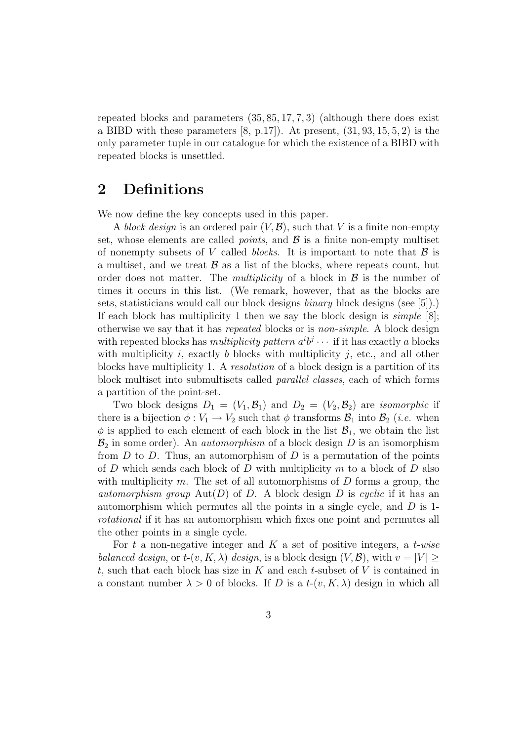repeated blocks and parameters  $(35, 85, 17, 7, 3)$  (although there does exist a BIBD with these parameters  $[8, p.17]$ ). At present,  $(31, 93, 15, 5, 2)$  is the only parameter tuple in our catalogue for which the existence of a BIBD with repeated blocks is unsettled.

# 2 Definitions

We now define the key concepts used in this paper.

A block design is an ordered pair  $(V, \mathcal{B})$ , such that V is a finite non-empty set, whose elements are called *points*, and  $\beta$  is a finite non-empty multiset of nonempty subsets of V called *blocks*. It is important to note that  $\beta$  is a multiset, and we treat  $\beta$  as a list of the blocks, where repeats count, but order does not matter. The *multiplicity* of a block in  $\beta$  is the number of times it occurs in this list. (We remark, however, that as the blocks are sets, statisticians would call our block designs binary block designs (see [5]).) If each block has multiplicity 1 then we say the block design is  $simple$  [8]; otherwise we say that it has repeated blocks or is non-simple. A block design with repeated blocks has *multiplicity pattern*  $a^i b^j \cdots$  if it has exactly a blocks with multiplicity i, exactly b blocks with multiplicity j, etc., and all other blocks have multiplicity 1. A resolution of a block design is a partition of its block multiset into submultisets called parallel classes, each of which forms a partition of the point-set.

Two block designs  $D_1 = (V_1, \mathcal{B}_1)$  and  $D_2 = (V_2, \mathcal{B}_2)$  are *isomorphic* if there is a bijection  $\phi: V_1 \to V_2$  such that  $\phi$  transforms  $\mathcal{B}_1$  into  $\mathcal{B}_2$  (*i.e.* when  $\phi$  is applied to each element of each block in the list  $\mathcal{B}_1$ , we obtain the list  $\mathcal{B}_2$  in some order). An *automorphism* of a block design D is an isomorphism from  $D$  to  $D$ . Thus, an automorphism of  $D$  is a permutation of the points of  $D$  which sends each block of  $D$  with multiplicity  $m$  to a block of  $D$  also with multiplicity m. The set of all automorphisms of  $D$  forms a group, the *automorphism group* Aut(D) of D. A block design D is cyclic if it has an automorphism which permutes all the points in a single cycle, and  $D$  is 1rotational if it has an automorphism which fixes one point and permutes all the other points in a single cycle.

For t a non-negative integer and K a set of positive integers, a t-wise balanced design, or  $t$ - $(v, K, \lambda)$  design, is a block design  $(V, \mathcal{B})$ , with  $v = |V|$ t, such that each block has size in  $K$  and each t-subset of  $V$  is contained in a constant number  $\lambda > 0$  of blocks. If D is a  $t-(v, K, \lambda)$  design in which all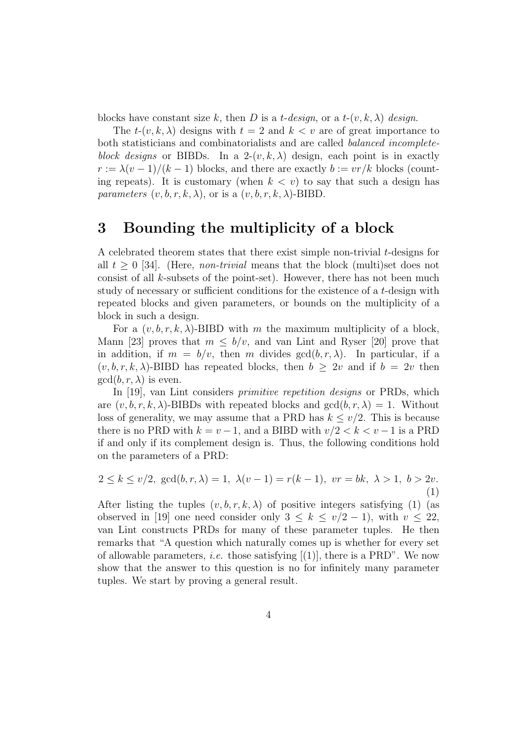blocks have constant size k, then D is a t-design, or a t- $(v, k, \lambda)$  design.

The  $t-(v, k, \lambda)$  designs with  $t = 2$  and  $k < v$  are of great importance to both statisticians and combinatorialists and are called balanced incompleteblock designs or BIBDs. In a 2- $(v, k, \lambda)$  design, each point is in exactly  $r := \lambda(v-1)/(k-1)$  blocks, and there are exactly  $b := v r / k$  blocks (counting repeats). It is customary (when  $k < v$ ) to say that such a design has parameters  $(v, b, r, k, \lambda)$ , or is a  $(v, b, r, k, \lambda)$ -BIBD.

# 3 Bounding the multiplicity of a block

A celebrated theorem states that there exist simple non-trivial t-designs for all  $t \geq 0$  [34]. (Here, *non-trivial* means that the block (multi)set does not consist of all k-subsets of the point-set). However, there has not been much study of necessary or sufficient conditions for the existence of a t-design with repeated blocks and given parameters, or bounds on the multiplicity of a block in such a design.

For a  $(v, b, r, k, \lambda)$ -BIBD with m the maximum multiplicity of a block, Mann [23] proves that  $m \leq b/v$ , and van Lint and Ryser [20] prove that in addition, if  $m = b/v$ , then m divides  $gcd(b, r, \lambda)$ . In particular, if a  $(v, b, r, k, \lambda)$ -BIBD has repeated blocks, then  $b \geq 2v$  and if  $b = 2v$  then  $gcd(b, r, \lambda)$  is even.

In [19], van Lint considers *primitive repetition designs* or PRDs, which are  $(v, b, r, k, \lambda)$ -BIBDs with repeated blocks and  $gcd(b, r, \lambda) = 1$ . Without loss of generality, we may assume that a PRD has  $k \leq v/2$ . This is because there is no PRD with  $k = v - 1$ , and a BIBD with  $v/2 < k < v - 1$  is a PRD if and only if its complement design is. Thus, the following conditions hold on the parameters of a PRD:

$$
2 \le k \le v/2, \gcd(b, r, \lambda) = 1, \ \lambda(v - 1) = r(k - 1), \ vr = bk, \ \lambda > 1, \ b > 2v.
$$
\n(1)

After listing the tuples  $(v, b, r, k, \lambda)$  of positive integers satisfying (1) (as observed in [19] one need consider only  $3 \leq k \leq v/2 - 1$ , with  $v \leq 22$ , van Lint constructs PRDs for many of these parameter tuples. He then remarks that "A question which naturally comes up is whether for every set of allowable parameters, *i.e.* those satisfying  $[(1)]$ , there is a PRD". We now show that the answer to this question is no for infinitely many parameter tuples. We start by proving a general result.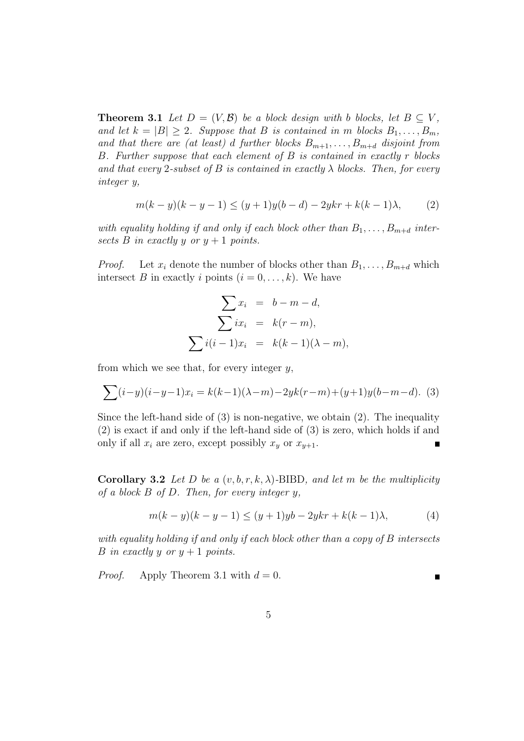**Theorem 3.1** Let  $D = (V, \mathcal{B})$  be a block design with b blocks, let  $B \subseteq V$ , and let  $k = |B| \geq 2$ . Suppose that B is contained in m blocks  $B_1, \ldots, B_m$ , and that there are (at least) d further blocks  $B_{m+1}, \ldots, B_{m+d}$  disjoint from B. Further suppose that each element of B is contained in exactly r blocks and that every 2-subset of B is contained in exactly  $\lambda$  blocks. Then, for every integer y,

$$
m(k - y)(k - y - 1) \le (y + 1)y(b - d) - 2ykr + k(k - 1)\lambda,
$$
 (2)

with equality holding if and only if each block other than  $B_1, \ldots, B_{m+d}$  intersects B in exactly y or  $y + 1$  points.

*Proof.* Let  $x_i$  denote the number of blocks other than  $B_1, \ldots, B_{m+d}$  which intersect B in exactly i points  $(i = 0, \ldots, k)$ . We have

$$
\sum x_i = b - m - d,
$$
  

$$
\sum ix_i = k(r - m),
$$
  

$$
\sum i(i - 1)x_i = k(k - 1)(\lambda - m),
$$

from which we see that, for every integer  $y$ ,

$$
\sum (i-y)(i-y-1)x_i = k(k-1)(\lambda-m) - 2yk(r-m) + (y+1)y(b-m-d).
$$
 (3)

Since the left-hand side of (3) is non-negative, we obtain (2). The inequality (2) is exact if and only if the left-hand side of (3) is zero, which holds if and only if all  $x_i$  are zero, except possibly  $x_y$  or  $x_{y+1}$ .  $\blacksquare$ 

Corollary 3.2 Let D be a  $(v, b, r, k, \lambda)$ -BIBD, and let m be the multiplicity of a block  $B$  of  $D$ . Then, for every integer  $y$ ,

$$
m(k - y)(k - y - 1) \le (y + 1)yb - 2ykr + k(k - 1)\lambda,
$$
 (4)

with equality holding if and only if each block other than a copy of B intersects B in exactly y or  $y + 1$  points.

*Proof.* Apply Theorem 3.1 with  $d = 0$ .

Е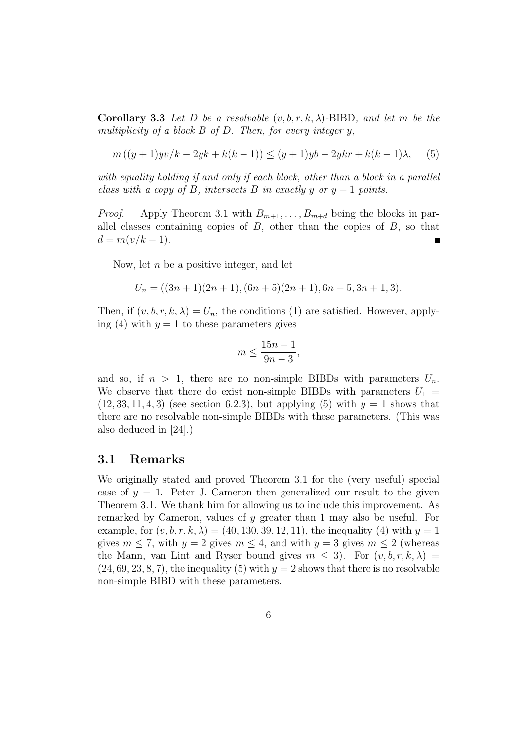**Corollary 3.3** Let D be a resolvable  $(v, b, r, k, \lambda)$ -BIBD, and let m be the multiplicity of a block  $B$  of  $D$ . Then, for every integer  $y$ ,

$$
m((y+1) yv/k - 2yk + k(k-1)) \le (y+1)yb - 2ykr + k(k-1)\lambda, \quad (5)
$$

with equality holding if and only if each block, other than a block in a parallel class with a copy of B, intersects B in exactly y or  $y + 1$  points.

*Proof.* Apply Theorem 3.1 with  $B_{m+1}, \ldots, B_{m+d}$  being the blocks in parallel classes containing copies of  $B$ , other than the copies of  $B$ , so that  $d = m(v/k - 1).$ 

Now, let  $n$  be a positive integer, and let

$$
U_n = ((3n + 1)(2n + 1), (6n + 5)(2n + 1), 6n + 5, 3n + 1, 3).
$$

Then, if  $(v, b, r, k, \lambda) = U_n$ , the conditions (1) are satisfied. However, applying (4) with  $y = 1$  to these parameters gives

$$
m \le \frac{15n - 1}{9n - 3},
$$

and so, if  $n > 1$ , there are no non-simple BIBDs with parameters  $U_n$ . We observe that there do exist non-simple BIBDs with parameters  $U_1$  =  $(12, 33, 11, 4, 3)$  (see section 6.2.3), but applying (5) with  $y = 1$  shows that there are no resolvable non-simple BIBDs with these parameters. (This was also deduced in [24].)

### 3.1 Remarks

We originally stated and proved Theorem 3.1 for the (very useful) special case of  $y = 1$ . Peter J. Cameron then generalized our result to the given Theorem 3.1. We thank him for allowing us to include this improvement. As remarked by Cameron, values of y greater than 1 may also be useful. For example, for  $(v, b, r, k, \lambda) = (40, 130, 39, 12, 11)$ , the inequality (4) with  $y = 1$ gives  $m \leq 7$ , with  $y = 2$  gives  $m \leq 4$ , and with  $y = 3$  gives  $m \leq 2$  (whereas the Mann, van Lint and Ryser bound gives  $m \leq 3$ . For  $(v, b, r, k, \lambda)$  $(24, 69, 23, 8, 7)$ , the inequality  $(5)$  with  $y = 2$  shows that there is no resolvable non-simple BIBD with these parameters.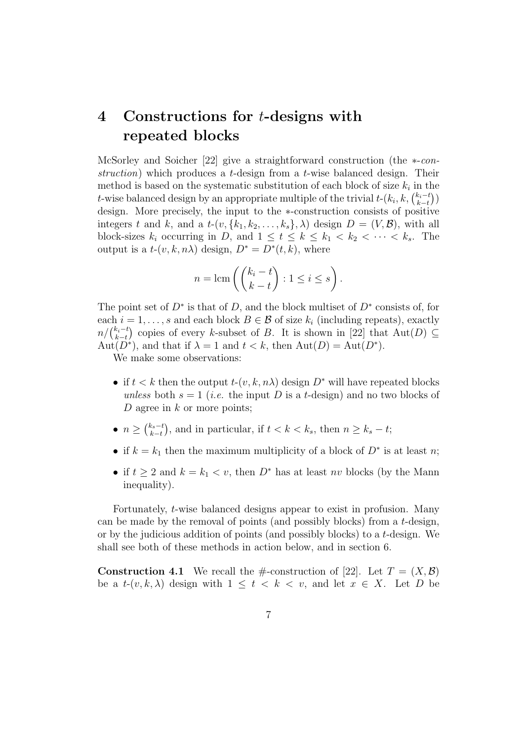# 4 Constructions for t-designs with repeated blocks

McSorley and Soicher [22] give a straightforward construction (the ∗-construction) which produces a t-design from a t-wise balanced design. Their method is based on the systematic substitution of each block of size  $k_i$  in the t-wise balanced design by an appropriate multiple of the trivial  $t$ - $(k_i, k, \binom{k_i-t_i}{k-t_i})$  $_{k-t}^{k_i-t}))$ design. More precisely, the input to the ∗-construction consists of positive integers t and k, and a  $t$ - $(v, \{k_1, k_2, \ldots, k_s\}, \lambda)$  design  $D = (V, \mathcal{B})$ , with all block-sizes  $k_i$  occurring in D, and  $1 \leq t \leq k \leq k_1 < k_2 < \cdots < k_s$ . The output is a  $t-(v, k, n\lambda)$  design,  $D^* = D^*(t, k)$ , where

$$
n = \text{lcm}\left(\binom{k_i - t}{k - t} : 1 \le i \le s\right).
$$

The point set of  $D^*$  is that of D, and the block multiset of  $D^*$  consists of, for each  $i = 1, \ldots, s$  and each block  $B \in \mathcal{B}$  of size  $k_i$  (including repeats), exactly  $n / \binom{k_i - t}{k_i - t}$  $(k_t-t)$  copies of every k-subset of B. It is shown in [22] that  $\text{Aut}(D) \subseteq k-t$  $\text{Aut}(D^*)$ , and that if  $\lambda = 1$  and  $t < k$ , then  $\text{Aut}(D) = \text{Aut}(D^*)$ .

We make some observations:

- if  $t < k$  then the output  $t-(v, k, n\lambda)$  design  $D^*$  will have repeated blocks unless both  $s = 1$  (*i.e.* the input D is a t-design) and no two blocks of D agree in  $k$  or more points;
- $\bullet$   $n \geq \binom{k_s-t}{k-t}$  $(k_s-t)$ , and in particular, if  $t < k < k_s$ , then  $n \geq k_s - t$ ;
- if  $k = k_1$  then the maximum multiplicity of a block of  $D^*$  is at least n;
- if  $t \geq 2$  and  $k = k_1 < v$ , then  $D^*$  has at least nv blocks (by the Mann inequality).

Fortunately, t-wise balanced designs appear to exist in profusion. Many can be made by the removal of points (and possibly blocks) from a t-design, or by the judicious addition of points (and possibly blocks) to a t-design. We shall see both of these methods in action below, and in section 6.

**Construction 4.1** We recall the #-construction of [22]. Let  $T = (X, \mathcal{B})$ be a  $t-(v, k, \lambda)$  design with  $1 \leq t \leq k \leq v$ , and let  $x \in X$ . Let D be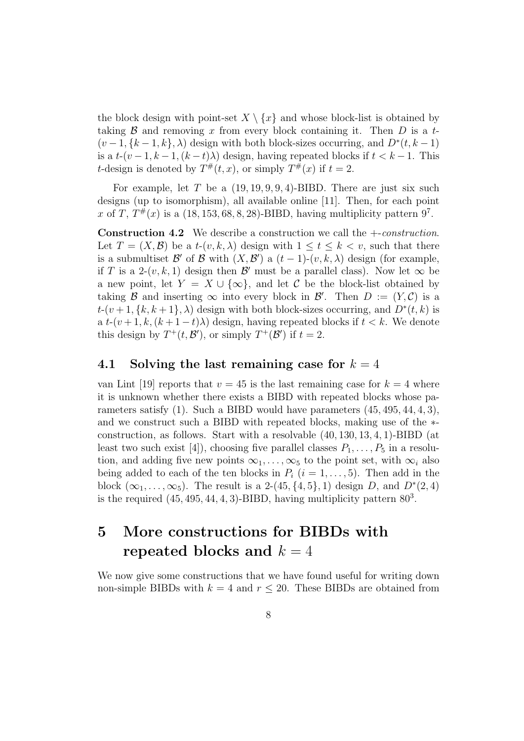the block design with point-set  $X \setminus \{x\}$  and whose block-list is obtained by taking  $\beta$  and removing x from every block containing it. Then D is a t- $(v-1, \{k-1, k\}, \lambda)$  design with both block-sizes occurring, and  $D^*(t, k-1)$ is a  $t-(v-1, k-1, (k-t)\lambda)$  design, having repeated blocks if  $t < k-1$ . This *t*-design is denoted by  $T^{\#}(t, x)$ , or simply  $T^{\#}(x)$  if  $t = 2$ .

For example, let  $T$  be a  $(19, 19, 9, 9, 4)$ -BIBD. There are just six such designs (up to isomorphism), all available online [11]. Then, for each point x of T,  $T^{\#}(x)$  is a  $(18, 153, 68, 8, 28)$ -BIBD, having multiplicity pattern 9<sup>7</sup>.

**Construction 4.2** We describe a construction we call the  $+-constraint$ . Let  $T = (X, \mathcal{B})$  be a  $t-(v, k, \lambda)$  design with  $1 \le t \le k < v$ , such that there is a submultiset  $\mathcal{B}'$  of  $\mathcal B$  with  $(X,\mathcal{B}')$  a  $(t-1)-(v,k,\lambda)$  design (for example, if T is a 2- $(v, k, 1)$  design then  $\mathcal{B}'$  must be a parallel class). Now let  $\infty$  be a new point, let  $Y = X \cup \{\infty\}$ , and let C be the block-list obtained by taking B and inserting  $\infty$  into every block in B'. Then  $D := (Y, C)$  is a  $t-(v+1,\{k,k+1\},\lambda)$  design with both block-sizes occurring, and  $D^*(t,k)$  is a  $t-(v+1, k, (k+1-t)\lambda)$  design, having repeated blocks if  $t < k$ . We denote this design by  $T^+(t, \mathcal{B}')$ , or simply  $T^+(\mathcal{B}')$  if  $t = 2$ .

## 4.1 Solving the last remaining case for  $k = 4$

van Lint [19] reports that  $v = 45$  is the last remaining case for  $k = 4$  where it is unknown whether there exists a BIBD with repeated blocks whose parameters satisfy (1). Such a BIBD would have parameters (45, 495, 44, 4, 3), and we construct such a BIBD with repeated blocks, making use of the ∗ construction, as follows. Start with a resolvable (40, 130, 13, 4, 1)-BIBD (at least two such exist [4]), choosing five parallel classes  $P_1, \ldots, P_5$  in a resolution, and adding five new points  $\infty_1, \ldots, \infty_5$  to the point set, with  $\infty_i$  also being added to each of the ten blocks in  $P_i$   $(i = 1, \ldots, 5)$ . Then add in the block  $(\infty_1, \ldots, \infty_5)$ . The result is a 2-(45, {4, 5}, 1) design D, and  $D^*(2,4)$ is the required  $(45, 495, 44, 4, 3)$ -BIBD, having multiplicity pattern  $80<sup>3</sup>$ .

# 5 More constructions for BIBDs with repeated blocks and  $k = 4$

We now give some constructions that we have found useful for writing down non-simple BIBDs with  $k = 4$  and  $r \le 20$ . These BIBDs are obtained from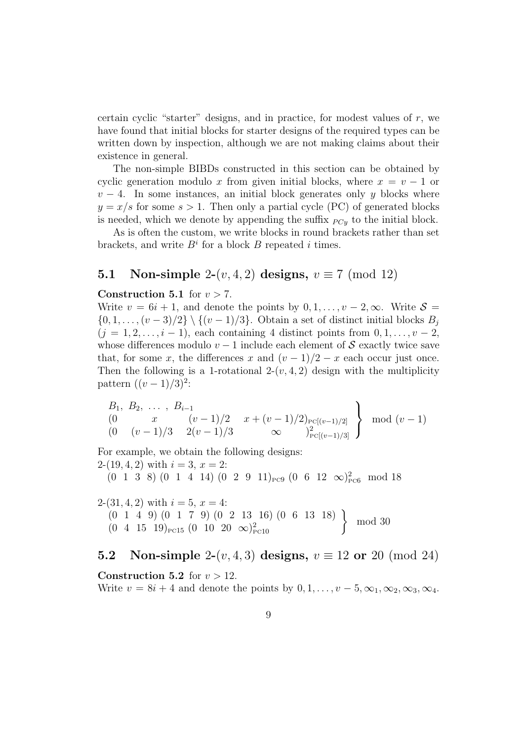certain cyclic "starter" designs, and in practice, for modest values of  $r$ , we have found that initial blocks for starter designs of the required types can be written down by inspection, although we are not making claims about their existence in general.

The non-simple BIBDs constructed in this section can be obtained by cyclic generation modulo x from given initial blocks, where  $x = v - 1$  or  $v-4$ . In some instances, an initial block generates only y blocks where  $y = x/s$  for some  $s > 1$ . Then only a partial cycle (PC) of generated blocks is needed, which we denote by appending the suffix  $_{PCy}$  to the initial block.

As is often the custom, we write blocks in round brackets rather than set brackets, and write  $B^i$  for a block B repeated i times.

# 5.1 Non-simple 2- $(v, 4, 2)$  designs,  $v \equiv 7 \pmod{12}$

#### Construction 5.1 for  $v > 7$ .

Write  $v = 6i + 1$ , and denote the points by  $0, 1, \ldots, v - 2, \infty$ . Write  $S =$  $\{0, 1, \ldots, (v-3)/2\} \setminus \{(v-1)/3\}$ . Obtain a set of distinct initial blocks  $B_i$  $(j = 1, 2, \ldots, i - 1)$ , each containing 4 distinct points from  $0, 1, \ldots, v - 2$ , whose differences modulo  $v - 1$  include each element of S exactly twice save that, for some x, the differences x and  $(v-1)/2 - x$  each occur just once. Then the following is a 1-rotational  $2-(v, 4, 2)$  design with the multiplicity pattern  $((v-1)/3)^2$ :

$$
\begin{array}{ccc} B_1, & B_2, & \dots, & B_{i-1} \\ (0 & x & (v-1)/2 & x + (v-1)/2 \text{)}}_0 \\ (0 & (v-1)/3 & 2(v-1)/3 & \infty \end{array} \bigg\} \mod (v-1)
$$

For example, we obtain the following designs: 2- $(19, 4, 2)$  with  $i = 3, x = 2$ :  $(0 \t1 \t3 \t8) (0 \t1 \t4 \t14) (0 \t2 \t9 \t11)_{P C9} (0 \t6 \t12 \t\infty)_{P C6}^2 \text{ mod } 18$ 

2- $(31, 4, 2)$  with  $i = 5, x = 4$ : (0 1 4 9) (0 1 7 9) (0 2 13 16) (0 6 13 18)  $(0 \t1 \t4 \t9) (0 \t1 \t7 \t9) (0 \t2 \t13 \t16) (0 \t6 \t13 \t18)$ <br>  $(0 \t4 \t15 \t19)_{\text{rc15}} (0 \t10 \t20 \t\infty)_{\text{rc10}}^2$ mod 30

# **5.2** Non-simple 2- $(v, 4, 3)$  designs,  $v \equiv 12$  or 20 (mod 24)

#### Construction 5.2 for  $v > 12$ .

Write  $v = 8i + 4$  and denote the points by  $0, 1, \ldots, v - 5, \infty_1, \infty_2, \infty_3, \infty_4$ .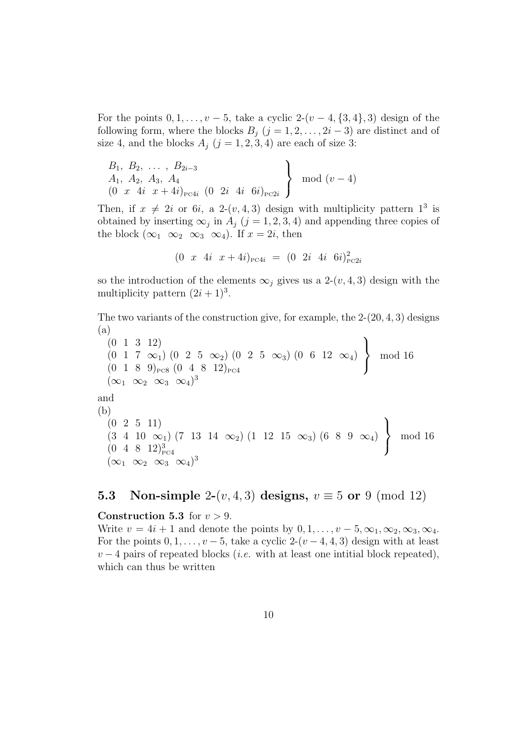For the points  $0, 1, \ldots, v - 5$ , take a cyclic  $2-(v-4, \{3,4\}, 3)$  design of the following form, where the blocks  $B_i$   $(j = 1, 2, \ldots, 2i - 3)$  are distinct and of size 4, and the blocks  $A_j$   $(j = 1, 2, 3, 4)$  are each of size 3:

$$
\begin{array}{c}\nB_1, B_2, \ldots, B_{2i-3} \\
A_1, A_2, A_3, A_4 \\
(0 \ x \ 4i \ x + 4i)_{\text{pc4}i} \ (0 \ 2i \ 4i \ 6i)_{\text{pc2}i}\n\end{array}\n\right\} \mod (v-4)
$$

Then, if  $x \neq 2i$  or 6*i*, a 2-(*v*, 4, 3) design with multiplicity pattern  $1^3$  is obtained by inserting  $\infty_j$  in  $A_j$  (j = 1, 2, 3, 4) and appending three copies of the block  $(\infty_1 \infty_2 \infty_3 \infty_4)$ . If  $x = 2i$ , then

$$
(0 \ x \ 4i \ x+4i)_{P \subset 4i} = (0 \ 2i \ 4i \ 6i)_{P \subset 2i}^2
$$

so the introduction of the elements  $\infty_i$  gives us a 2- $(v, 4, 3)$  design with the multiplicity pattern  $(2i + 1)^3$ .

The two variants of the construction give, for example, the 2-(20, 4, 3) designs (a)

(0 1 3 12)  $(0 \t1 \t7 \t\infty_1) (0 \t2 \t5 \t\infty_2) (0 \t2 \t5 \t\infty_3) (0 \t6 \t12 \t\infty_4)$  $(0 \t1 \t8 \t9)_{P C 8} (0 \t4 \t8 \t12)_{P C 4}$  $\mathcal{L}$  $\mathcal{L}$  $\int$ mod 16  $(\infty_1 \infty_2 \infty_3 \infty_4)^3$ and (b) (0 2 5 11)  $(3\quad 4\quad 10 \quad \infty_1) (7\quad 13\quad 14 \quad \infty_2) (1\quad 12\quad 15 \quad \infty_3) (6\quad 8\quad 9 \quad \infty_4)$  $(0 \ 4 \ 8 \ 12)^3_{\text{PC}4}$  $\mathcal{L}$  $\mathcal{L}$  $\int$ mod 16  $(\infty_1 \infty_2 \infty_3 \infty_4)^3$ 

# 5.3 Non-simple 2- $(v, 4, 3)$  designs,  $v \equiv 5$  or 9 (mod 12)

#### **Construction 5.3** for  $v > 9$ .

Write  $v = 4i + 1$  and denote the points by  $0, 1, \ldots, v - 5, \infty_1, \infty_2, \infty_3, \infty_4$ . For the points  $0, 1, \ldots, v-5$ , take a cyclic  $2-(v-4, 4, 3)$  design with at least  $v-4$  pairs of repeated blocks (*i.e.* with at least one intitial block repeated), which can thus be written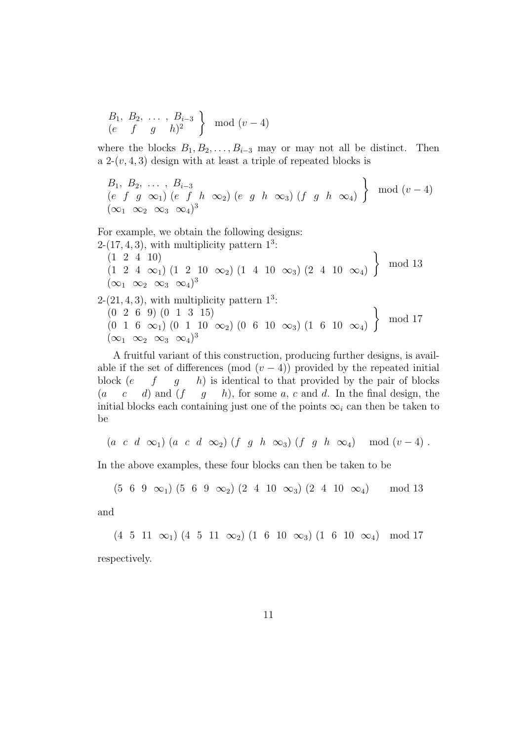$$
\begin{array}{c} B_1, B_2, \ldots, B_{i-3} \\ (e \quad f \quad g \quad h)^2 \end{array} \bigg\} \mod (v-4)
$$

where the blocks  $B_1, B_2, \ldots, B_{i-3}$  may or may not all be distinct. Then a  $2-(v, 4, 3)$  design with at least a triple of repeated blocks is

$$
\begin{array}{l}\nB_1, B_2, \ldots, B_{i-3} \\
(e \ f \ g \ \infty_1) \ (e \ f \ h \ \infty_2) \ (e \ g \ h \ \infty_3) \ (f \ g \ h \ \infty_4)\n\end{array}\n\right\} \mod (v-4)
$$
\n
$$
(\infty_1 \ \infty_2 \ \infty_3 \ \infty_4)^3
$$

For example, we obtain the following designs:

- $2-(17, 4, 3)$ , with multiplicity pattern  $1<sup>3</sup>$ :  $(1 \ 2 \ 4 \ 10)$  $(1\ 2\ 4\ \infty_1)$   $(1\ 2\ 10\ \infty_2)$   $(1\ 4\ 10\ \infty_3)$   $(2\ 4\ 10\ \infty_4)$  $\mathcal{L}$ mod 13  $(\infty_1 \infty_2 \infty_3 \infty_4)^3$
- $2-(21, 4, 3)$ , with multiplicity pattern  $1^3$ : (0 2 6 9) (0 1 3 15)  $(0 \ 1 \ 6 \ \infty_1)$   $(0 \ 1 \ 10 \ \infty_2)$   $(0 \ 6 \ 10 \ \infty_3)$   $(1 \ 6 \ 10 \ \infty_4)$  $\mathcal{L}$ mod 17  $(\infty_1 \infty_2 \infty_3 \infty_4)^3$

A fruitful variant of this construction, producing further designs, is available if the set of differences (mod  $(v-4)$ ) provided by the repeated initial block  $(e \ f \ g \ h)$  is identical to that provided by the pair of blocks  $(a \quad c \quad d)$  and  $(f \quad g \quad h)$ , for some a, c and d. In the final design, the initial blocks each containing just one of the points  $\infty_i$  can then be taken to be

$$
(a \ c \ d \infty_1) (a \ c \ d \infty_2) (f \ g \ h \infty_3) (f \ g \ h \infty_4) \mod (v-4) .
$$

In the above examples, these four blocks can then be taken to be

$$
(5 \ 6 \ 9 \ \infty_1) (5 \ 6 \ 9 \ \infty_2) (2 \ 4 \ 10 \ \infty_3) (2 \ 4 \ 10 \ \infty_4) \qquad \text{mod } 13
$$

and

(4 5 11  $\infty$ <sub>1</sub>) (4 5 11  $\infty$ <sub>2</sub>) (1 6 10  $\infty$ <sub>3</sub>) (1 6 10  $\infty$ <sub>4</sub>) mod 17 respectively.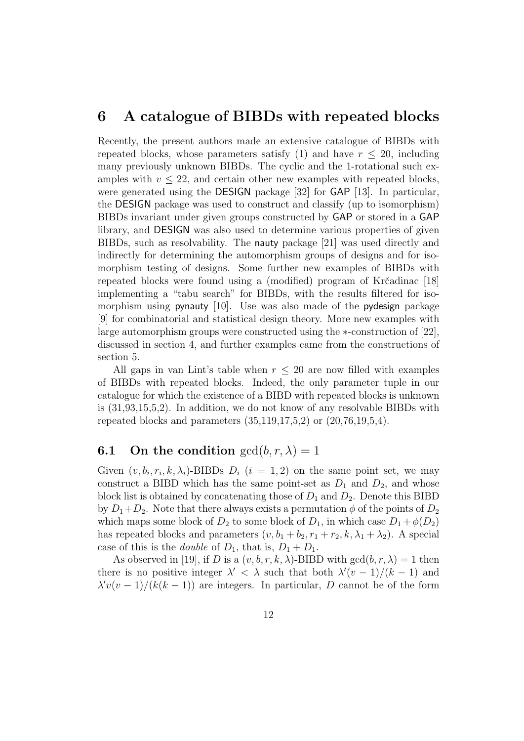# 6 A catalogue of BIBDs with repeated blocks

Recently, the present authors made an extensive catalogue of BIBDs with repeated blocks, whose parameters satisfy (1) and have  $r \leq 20$ , including many previously unknown BIBDs. The cyclic and the 1-rotational such examples with  $v \leq 22$ , and certain other new examples with repeated blocks, were generated using the DESIGN package [32] for GAP [13]. In particular, the DESIGN package was used to construct and classify (up to isomorphism) BIBDs invariant under given groups constructed by GAP or stored in a GAP library, and DESIGN was also used to determine various properties of given BIBDs, such as resolvability. The nauty package [21] was used directly and indirectly for determining the automorphism groups of designs and for isomorphism testing of designs. Some further new examples of BIBDs with repeated blocks were found using a (modified) program of Krčadinac [18] implementing a "tabu search" for BIBDs, with the results filtered for isomorphism using pynauty [10]. Use was also made of the pydesign package [9] for combinatorial and statistical design theory. More new examples with large automorphism groups were constructed using the ∗-construction of [22], discussed in section 4, and further examples came from the constructions of section 5.

All gaps in van Lint's table when  $r \leq 20$  are now filled with examples of BIBDs with repeated blocks. Indeed, the only parameter tuple in our catalogue for which the existence of a BIBD with repeated blocks is unknown is (31,93,15,5,2). In addition, we do not know of any resolvable BIBDs with repeated blocks and parameters  $(35,119,17,5,2)$  or  $(20,76,19,5,4)$ .

## **6.1** On the condition  $gcd(b, r, \lambda) = 1$

Given  $(v, b_i, r_i, k, \lambda_i)$ -BIBDs  $D_i$   $(i = 1, 2)$  on the same point set, we may construct a BIBD which has the same point-set as  $D_1$  and  $D_2$ , and whose block list is obtained by concatenating those of  $D_1$  and  $D_2$ . Denote this BIBD by  $D_1+D_2$ . Note that there always exists a permutation  $\phi$  of the points of  $D_2$ which maps some block of  $D_2$  to some block of  $D_1$ , in which case  $D_1 + \phi(D_2)$ has repeated blocks and parameters  $(v, b_1 + b_2, r_1 + r_2, k, \lambda_1 + \lambda_2)$ . A special case of this is the *double* of  $D_1$ , that is,  $D_1 + D_1$ .

As observed in [19], if D is a  $(v, b, r, k, \lambda)$ -BIBD with  $gcd(b, r, \lambda) = 1$  then there is no positive integer  $\lambda' < \lambda$  such that both  $\lambda'(v-1)/(k-1)$  and  $\lambda'v(v-1)/(k(k-1))$  are integers. In particular, D cannot be of the form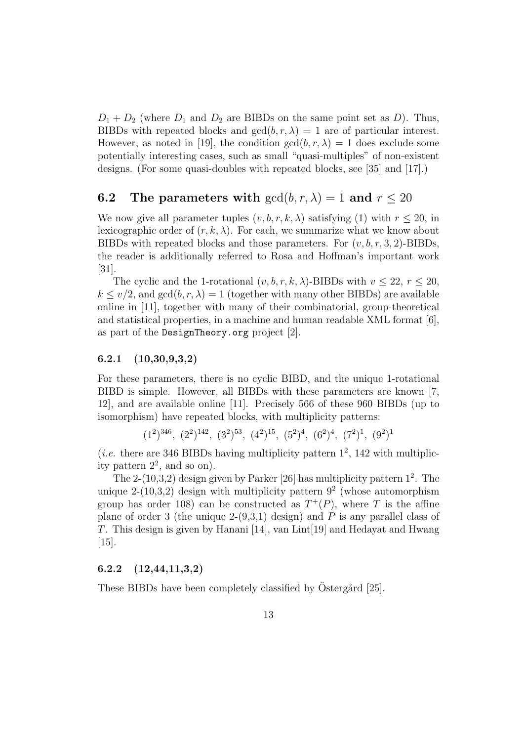$D_1 + D_2$  (where  $D_1$  and  $D_2$  are BIBDs on the same point set as D). Thus, BIBDs with repeated blocks and  $gcd(b, r, \lambda) = 1$  are of particular interest. However, as noted in [19], the condition  $gcd(b, r, \lambda) = 1$  does exclude some potentially interesting cases, such as small "quasi-multiples" of non-existent designs. (For some quasi-doubles with repeated blocks, see [35] and [17].)

# **6.2** The parameters with  $gcd(b, r, \lambda) = 1$  and  $r \le 20$

We now give all parameter tuples  $(v, b, r, k, \lambda)$  satisfying (1) with  $r \le 20$ , in lexicographic order of  $(r, k, \lambda)$ . For each, we summarize what we know about BIBDs with repeated blocks and those parameters. For  $(v, b, r, 3, 2)$ -BIBDs, the reader is additionally referred to Rosa and Hoffman's important work [31].

The cyclic and the 1-rotational  $(v, b, r, k, \lambda)$ -BIBDs with  $v \le 22$ ,  $r \le 20$ ,  $k \le v/2$ , and  $gcd(b, r, \lambda) = 1$  (together with many other BIBDs) are available online in [11], together with many of their combinatorial, group-theoretical and statistical properties, in a machine and human readable XML format  $[6]$ , as part of the DesignTheory.org project [2].

#### 6.2.1 (10,30,9,3,2)

For these parameters, there is no cyclic BIBD, and the unique 1-rotational BIBD is simple. However, all BIBDs with these parameters are known [7, 12], and are available online [11]. Precisely 566 of these 960 BIBDs (up to isomorphism) have repeated blocks, with multiplicity patterns:

 $(1^2)^{346}$ ,  $(2^2)^{142}$ ,  $(3^2)^{53}$ ,  $(4^2)^{15}$ ,  $(5^2)^4$ ,  $(6^2)^4$ ,  $(7^2)^1$ ,  $(9^2)^1$ 

(*i.e.* there are 346 BIBDs having multiplicity pattern  $1^2$ , 142 with multiplicity pattern  $2^2$ , and so on).

The 2- $(10,3,2)$  design given by Parker [26] has multiplicity pattern  $1^2$ . The unique  $2-(10,3,2)$  design with multiplicity pattern  $9^2$  (whose automorphism group has order 108) can be constructed as  $T^+(P)$ , where T is the affine plane of order 3 (the unique  $2-(9,3,1)$  design) and P is any parallel class of T. This design is given by Hanani [14], van Lint[19] and Hedayat and Hwang [15].

### $6.2.2 \quad (12,44,11,3,2)$

These BIBDs have been completely classified by Ostergård [25].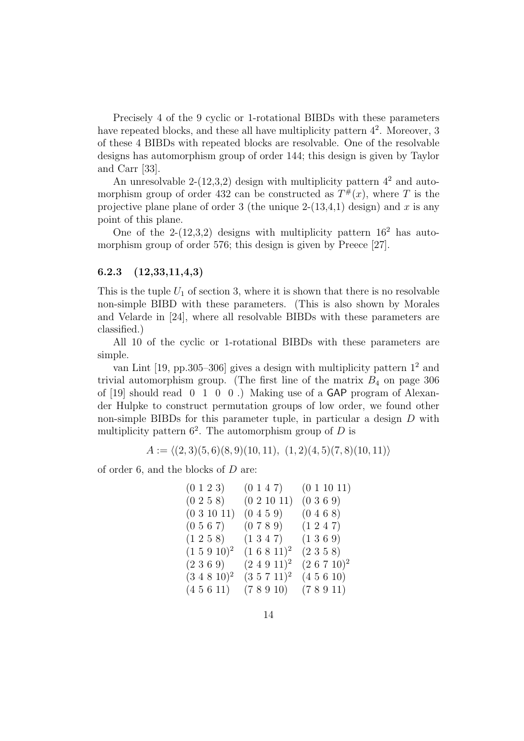Precisely 4 of the 9 cyclic or 1-rotational BIBDs with these parameters have repeated blocks, and these all have multiplicity pattern  $4^2$ . Moreover, 3 of these 4 BIBDs with repeated blocks are resolvable. One of the resolvable designs has automorphism group of order 144; this design is given by Taylor and Carr [33].

An unresolvable 2-(12,3,2) design with multiplicity pattern  $4^2$  and automorphism group of order 432 can be constructed as  $T^{\#}(x)$ , where T is the projective plane plane of order 3 (the unique  $2-(13,4,1)$  design) and x is any point of this plane.

One of the 2-(12,3,2) designs with multiplicity pattern  $16^2$  has automorphism group of order 576; this design is given by Preece [27].

#### 6.2.3 (12,33,11,4,3)

This is the tuple  $U_1$  of section 3, where it is shown that there is no resolvable non-simple BIBD with these parameters. (This is also shown by Morales and Velarde in [24], where all resolvable BIBDs with these parameters are classified.)

All 10 of the cyclic or 1-rotational BIBDs with these parameters are simple.

van Lint  $[19, pp.305-306]$  gives a design with multiplicity pattern  $1^2$  and trivial automorphism group. (The first line of the matrix  $B_4$  on page 306 of [19] should read 0 1 0 0 .) Making use of a GAP program of Alexander Hulpke to construct permutation groups of low order, we found other non-simple BIBDs for this parameter tuple, in particular a design D with multiplicity pattern  $6^2$ . The automorphism group of D is

 $A := \langle (2, 3)(5, 6)(8, 9)(10, 11), (1, 2)(4, 5)(7, 8)(10, 11)\rangle$ 

of order 6, and the blocks of D are:

| $(0\; 1\; 2\; 3)$ | (0147)            | (0 1 10 11)    |
|-------------------|-------------------|----------------|
| $(0\; 2\; 5\; 8)$ | (0 2 10 11)       | (0369)         |
| (031011)          | (0459)            | (0468)         |
| (0567)            | (0789)            | $(1\;2\;4\;7)$ |
| $(1\;2\;5\;8)$    | $(1\;3\;4\;7)$    | $(1\;3\;6\;9)$ |
| $(1\ 5\ 9\ 10)^2$ | $(1\;6\;8\;11)^2$ | $(2\;3\;5\;8)$ |
| $(2\;3\;6\;9)$    | $(2\;4\;9\;11)^2$ | $(2 6 7 10)^2$ |
| $(3\;4\;8\;10)^2$ | $(3\;5\;7\;11)^2$ | (45610)        |
| (45611)           | (78910)           | (78911)        |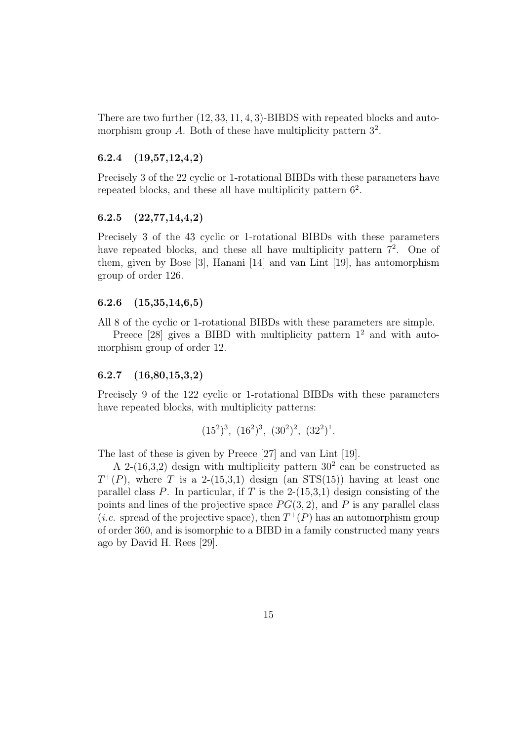There are two further (12, 33, 11, 4, 3)-BIBDS with repeated blocks and automorphism group A. Both of these have multiplicity pattern  $3^2$ .

### 6.2.4 (19,57,12,4,2)

Precisely 3 of the 22 cyclic or 1-rotational BIBDs with these parameters have repeated blocks, and these all have multiplicity pattern  $6^2$ .

#### 6.2.5 (22,77,14,4,2)

Precisely 3 of the 43 cyclic or 1-rotational BIBDs with these parameters have repeated blocks, and these all have multiplicity pattern  $7^2$ . One of them, given by Bose [3], Hanani [14] and van Lint [19], has automorphism group of order 126.

#### 6.2.6 (15,35,14,6,5)

All 8 of the cyclic or 1-rotational BIBDs with these parameters are simple.

Preece [28] gives a BIBD with multiplicity pattern  $1^2$  and with automorphism group of order 12.

## 6.2.7 (16,80,15,3,2)

Precisely 9 of the 122 cyclic or 1-rotational BIBDs with these parameters have repeated blocks, with multiplicity patterns:

$$
(15^2)^3
$$
,  $(16^2)^3$ ,  $(30^2)^2$ ,  $(32^2)^1$ .

The last of these is given by Preece [27] and van Lint [19].

A 2- $(16,3,2)$  design with multiplicity pattern  $30<sup>2</sup>$  can be constructed as  $T^+(P)$ , where T is a 2-(15,3,1) design (an STS(15)) having at least one parallel class P. In particular, if T is the  $2-(15,3,1)$  design consisting of the points and lines of the projective space  $PG(3, 2)$ , and P is any parallel class (*i.e.* spread of the projective space), then  $T^+(P)$  has an automorphism group of order 360, and is isomorphic to a BIBD in a family constructed many years ago by David H. Rees [29].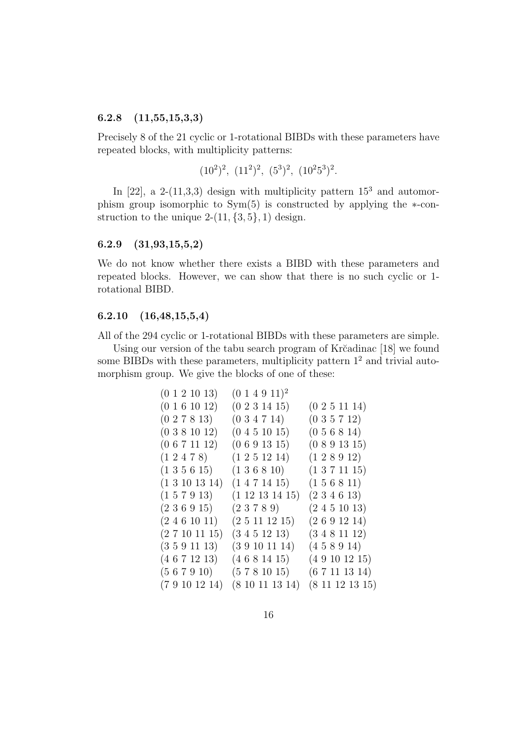### 6.2.8 (11,55,15,3,3)

Precisely 8 of the 21 cyclic or 1-rotational BIBDs with these parameters have repeated blocks, with multiplicity patterns:

$$
(10^2)^2
$$
,  $(11^2)^2$ ,  $(5^3)^2$ ,  $(10^25^3)^2$ .

In  $[22]$ , a 2-(11,3,3) design with multiplicity pattern  $15<sup>3</sup>$  and automorphism group isomorphic to Sym(5) is constructed by applying the ∗-construction to the unique  $2-(11, {3, 5}, 1)$  design.

#### 6.2.9 (31,93,15,5,2)

We do not know whether there exists a BIBD with these parameters and repeated blocks. However, we can show that there is no such cyclic or 1 rotational BIBD.

#### 6.2.10 (16,48,15,5,4)

All of the 294 cyclic or 1-rotational BIBDs with these parameters are simple.

Using our version of the tabu search program of Kr $\tilde{c}$  adinac [18] we found some BIBDs with these parameters, multiplicity pattern  $1<sup>2</sup>$  and trivial automorphism group. We give the blocks of one of these:

| (0 1 2 10 13)        | $(0\; 1\; 4\; 9\; 11)^2$ |                       |
|----------------------|--------------------------|-----------------------|
| (0 1 6 10 12)        | (0 2 3 14 15)            | (0 2 5 11 14)         |
| $(0\;2\;7\;8\;13)$   | (034714)                 | (035712)              |
| (0381012)            | (0 4 5 10 15)            | (0 5 6 8 14)          |
| (0 6 7 11 12)        | (0 6 9 13 15)            | (0 8 9 13 15)         |
| $(1\;2\;4\;7\;8)$    | $(1\;2\;5\;12\;14)$      | $(1\;2\;8\;9\;12)$    |
| $(1\;3\;5\;6\;15)$   | $(1\;3\;6\;8\;10)$       | $(1\ 3\ 7\ 11\ 15)$   |
| $(1\ 3\ 10\ 13\ 14)$ | $(1\;4\;7\;14\;15)$      | $(1\;5\;6\;8\;11)$    |
| $(1\;5\;7\;9\;13)$   | $(1\;12\;13\;14\;15)$    | $(2\;3\;4\;6\;13)$    |
| $(2\;3\;6\;9\;15)$   | (23789)                  | $(2\;4\;5\;10\;13)$   |
| $(2\;4\;6\;10\;11)$  | $(2\;5\;11\;12\;15)$     | (2 6 9 12 14)         |
| (2 7 10 11 15)       | $(3\;4\;5\;12\;13)$      | $(3\;4\;8\;11\;12)$   |
| (3591113)            | (3 9 10 11 14)           | (458914)              |
| $(4\;6\;7\;12\;13)$  | (4681415)                | (49101215)            |
| (567910)             | (5781015)                | (67111314)            |
| (79101214)           | $(8\ 10\ 11\ 13\ 14)$    | $(8\;11\;12\;13\;15)$ |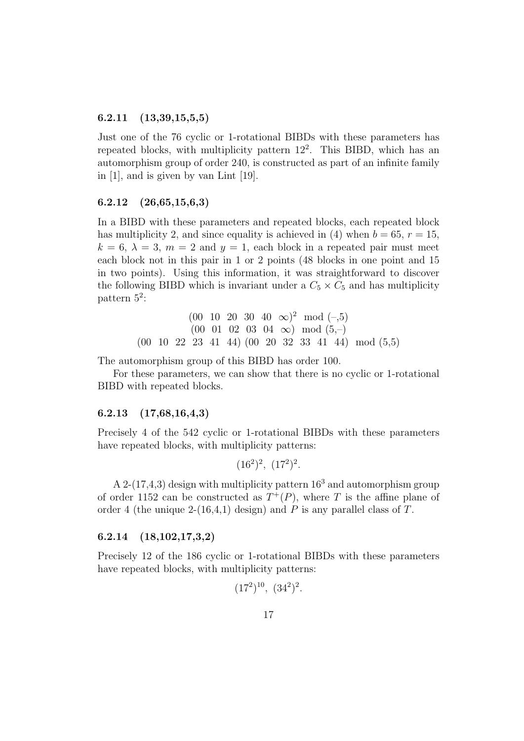#### 6.2.11 (13,39,15,5,5)

Just one of the 76 cyclic or 1-rotational BIBDs with these parameters has repeated blocks, with multiplicity pattern  $12^2$ . This BIBD, which has an automorphism group of order 240, is constructed as part of an infinite family in [1], and is given by van Lint [19].

#### 6.2.12 (26,65,15,6,3)

In a BIBD with these parameters and repeated blocks, each repeated block has multiplicity 2, and since equality is achieved in (4) when  $b = 65$ ,  $r = 15$ ,  $k = 6, \lambda = 3, m = 2$  and  $y = 1$ , each block in a repeated pair must meet each block not in this pair in 1 or 2 points (48 blocks in one point and 15 in two points). Using this information, it was straightforward to discover the following BIBD which is invariant under a  $C_5 \times C_5$  and has multiplicity pattern 5<sup>2</sup>:

$$
(00 \t 10 \t 20 \t 30 \t 40 \t \infty)^2 \t mod (-5)
$$
  
 $(00 \t 01 \t 02 \t 03 \t 04 \t \infty) \t mod (5,-)$   
 $(00 \t 10 \t 22 \t 23 \t 41 \t 44) \t (00 \t 20 \t 32 \t 33 \t 41 \t 44) \t mod (5,5)$ 

The automorphism group of this BIBD has order 100.

For these parameters, we can show that there is no cyclic or 1-rotational BIBD with repeated blocks.

### 6.2.13 (17,68,16,4,3)

Precisely 4 of the 542 cyclic or 1-rotational BIBDs with these parameters have repeated blocks, with multiplicity patterns:

$$
(16^2)^2
$$
,  $(17^2)^2$ .

A 2-(17,4,3) design with multiplicity pattern  $16<sup>3</sup>$  and automorphism group of order 1152 can be constructed as  $T^+(P)$ , where T is the affine plane of order 4 (the unique 2-(16,4,1) design) and P is any parallel class of T.

#### 6.2.14 (18,102,17,3,2)

Precisely 12 of the 186 cyclic or 1-rotational BIBDs with these parameters have repeated blocks, with multiplicity patterns:

$$
(17^2)^{10}
$$
,  $(34^2)^2$ .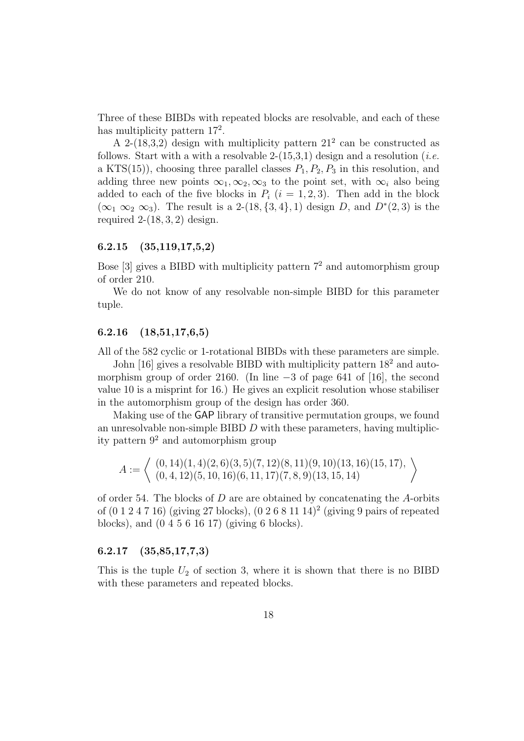Three of these BIBDs with repeated blocks are resolvable, and each of these has multiplicity pattern  $17^2$ .

A 2-(18,3,2) design with multiplicity pattern  $21^2$  can be constructed as follows. Start with a with a resolvable 2- $(15,3,1)$  design and a resolution (*i.e.* a KTS(15)), choosing three parallel classes  $P_1, P_2, P_3$  in this resolution, and adding three new points  $\infty_1, \infty_2, \infty_3$  to the point set, with  $\infty_i$  also being added to each of the five blocks in  $P_i$  (i = 1, 2, 3). Then add in the block  $(\infty_1 \infty_2 \infty_3)$ . The result is a 2-(18, {3, 4}, 1) design D, and  $D^*(2,3)$  is the required  $2-(18, 3, 2)$  design.

#### 6.2.15 (35,119,17,5,2)

Bose  $[3]$  gives a BIBD with multiplicity pattern  $7<sup>2</sup>$  and automorphism group of order 210.

We do not know of any resolvable non-simple BIBD for this parameter tuple.

### 6.2.16 (18,51,17,6,5)

All of the 582 cyclic or 1-rotational BIBDs with these parameters are simple.

John [16] gives a resolvable BIBD with multiplicity pattern  $18<sup>2</sup>$  and automorphism group of order 2160. (In line −3 of page 641 of [16], the second value 10 is a misprint for 16.) He gives an explicit resolution whose stabiliser in the automorphism group of the design has order 360.

Making use of the GAP library of transitive permutation groups, we found an unresolvable non-simple BIBD D with these parameters, having multiplicity pattern  $9^2$  and automorphism group

$$
A := \left\langle \begin{array}{c} (0, 14)(1, 4)(2, 6)(3, 5)(7, 12)(8, 11)(9, 10)(13, 16)(15, 17), \\ (0, 4, 12)(5, 10, 16)(6, 11, 17)(7, 8, 9)(13, 15, 14) \end{array} \right\rangle
$$

of order 54. The blocks of  $D$  are are obtained by concatenating the A-orbits of (0 1 2 4 7 16) (giving 27 blocks), (0 2 6 8 11 14)<sup>2</sup> (giving 9 pairs of repeated blocks), and (0 4 5 6 16 17) (giving 6 blocks).

### 6.2.17 (35,85,17,7,3)

This is the tuple  $U_2$  of section 3, where it is shown that there is no BIBD with these parameters and repeated blocks.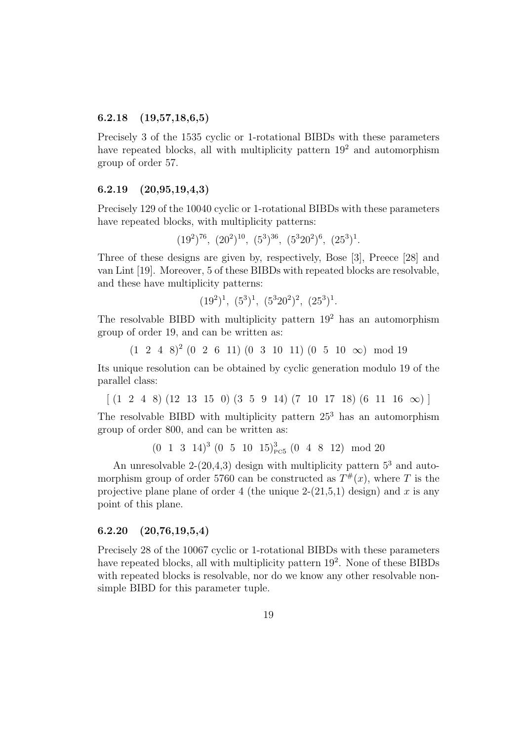#### 6.2.18 (19,57,18,6,5)

Precisely 3 of the 1535 cyclic or 1-rotational BIBDs with these parameters have repeated blocks, all with multiplicity pattern  $19<sup>2</sup>$  and automorphism group of order 57.

#### 6.2.19 (20,95,19,4,3)

Precisely 129 of the 10040 cyclic or 1-rotational BIBDs with these parameters have repeated blocks, with multiplicity patterns:

$$
(19^2)^{76}
$$
,  $(20^2)^{10}$ ,  $(5^3)^{36}$ ,  $(5^320^2)^6$ ,  $(25^3)^1$ .

Three of these designs are given by, respectively, Bose [3], Preece [28] and van Lint [19]. Moreover, 5 of these BIBDs with repeated blocks are resolvable, and these have multiplicity patterns:

$$
(19^2)^1
$$
,  $(5^3)^1$ ,  $(5^320^2)^2$ ,  $(25^3)^1$ .

The resolvable BIBD with multiplicity pattern  $19<sup>2</sup>$  has an automorphism group of order 19, and can be written as:

 $(1 \ 2 \ 4 \ 8)^2$   $(0 \ 2 \ 6 \ 11)$   $(0 \ 3 \ 10 \ 11)$   $(0 \ 5 \ 10 \ \infty)$  mod 19

Its unique resolution can be obtained by cyclic generation modulo 19 of the parallel class:

 $\lceil$  (1 2 4 8) (12 13 15 0) (3 5 9 14) (7 10 17 18) (6 11 16  $\infty$ ) ]

The resolvable BIBD with multiplicity pattern  $25<sup>3</sup>$  has an automorphism group of order 800, and can be written as:

 $(0 \t1 \t3 \t14)^3 \t(0 \t5 \t10 \t15)^3_{\text{PC5}} \t(0 \t4 \t8 \t12) \text{ mod } 20$ 

An unresolvable  $2-(20,4,3)$  design with multiplicity pattern  $5^3$  and automorphism group of order 5760 can be constructed as  $T^{\#}(x)$ , where T is the projective plane plane of order 4 (the unique  $2-(21,5,1)$  design) and x is any point of this plane.

#### 6.2.20 (20,76,19,5,4)

Precisely 28 of the 10067 cyclic or 1-rotational BIBDs with these parameters have repeated blocks, all with multiplicity pattern 19<sup>2</sup>. None of these BIBDs with repeated blocks is resolvable, nor do we know any other resolvable nonsimple BIBD for this parameter tuple.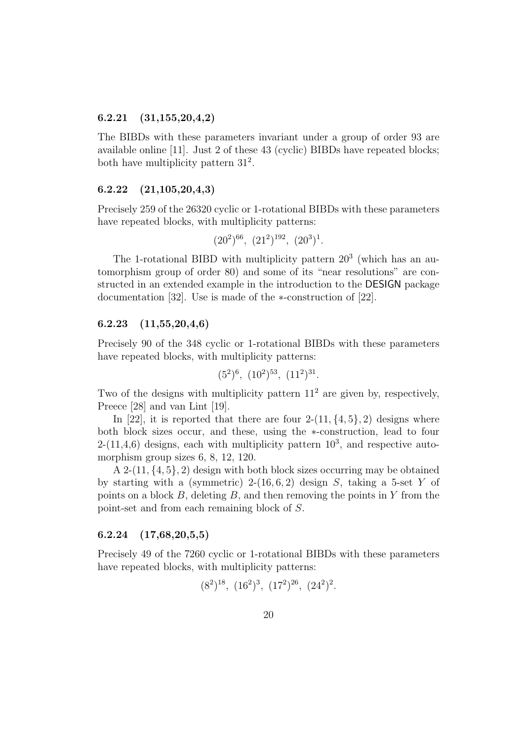#### 6.2.21 (31,155,20,4,2)

The BIBDs with these parameters invariant under a group of order 93 are available online [11]. Just 2 of these 43 (cyclic) BIBDs have repeated blocks; both have multiplicity pattern  $31^2$ .

#### 6.2.22 (21,105,20,4,3)

Precisely 259 of the 26320 cyclic or 1-rotational BIBDs with these parameters have repeated blocks, with multiplicity patterns:

$$
(20^2)^{66}
$$
,  $(21^2)^{192}$ ,  $(20^3)^1$ .

The 1-rotational BIBD with multiplicity pattern  $20<sup>3</sup>$  (which has an automorphism group of order 80) and some of its "near resolutions" are constructed in an extended example in the introduction to the DESIGN package documentation [32]. Use is made of the ∗-construction of [22].

### 6.2.23 (11,55,20,4,6)

Precisely 90 of the 348 cyclic or 1-rotational BIBDs with these parameters have repeated blocks, with multiplicity patterns:

$$
(5^2)^6
$$
,  $(10^2)^{53}$ ,  $(11^2)^{31}$ .

Two of the designs with multiplicity pattern  $11<sup>2</sup>$  are given by, respectively, Preece [28] and van Lint [19].

In [22], it is reported that there are four  $2-(11, \{4, 5\}, 2)$  designs where both block sizes occur, and these, using the ∗-construction, lead to four  $2-(11,4,6)$  designs, each with multiplicity pattern  $10^3$ , and respective automorphism group sizes 6, 8, 12, 120.

A 2- $(11, \{4, 5\}, 2)$  design with both block sizes occurring may be obtained by starting with a (symmetric)  $2-(16, 6, 2)$  design S, taking a 5-set Y of points on a block  $B$ , deleting  $B$ , and then removing the points in Y from the point-set and from each remaining block of S.

#### 6.2.24 (17,68,20,5,5)

Precisely 49 of the 7260 cyclic or 1-rotational BIBDs with these parameters have repeated blocks, with multiplicity patterns:

$$
(8^2)^{18}
$$
,  $(16^2)^3$ ,  $(17^2)^{26}$ ,  $(24^2)^2$ .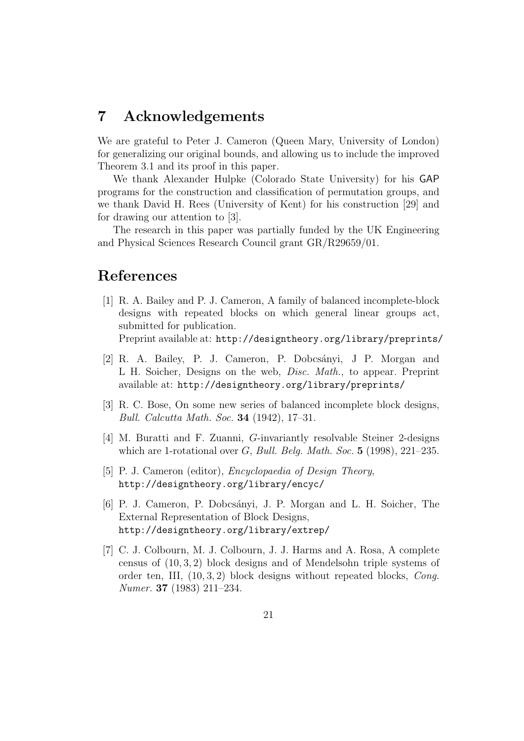# 7 Acknowledgements

We are grateful to Peter J. Cameron (Queen Mary, University of London) for generalizing our original bounds, and allowing us to include the improved Theorem 3.1 and its proof in this paper.

We thank Alexander Hulpke (Colorado State University) for his GAP programs for the construction and classification of permutation groups, and we thank David H. Rees (University of Kent) for his construction [29] and for drawing our attention to [3].

The research in this paper was partially funded by the UK Engineering and Physical Sciences Research Council grant GR/R29659/01.

# References

[1] R. A. Bailey and P. J. Cameron, A family of balanced incomplete-block designs with repeated blocks on which general linear groups act, submitted for publication.

Preprint available at: http://designtheory.org/library/preprints/

- [2] R. A. Bailey, P. J. Cameron, P. Dobcsányi, J. P. Morgan and L H. Soicher, Designs on the web, Disc. Math., to appear. Preprint available at: http://designtheory.org/library/preprints/
- [3] R. C. Bose, On some new series of balanced incomplete block designs, Bull. Calcutta Math. Soc. 34 (1942), 17–31.
- [4] M. Buratti and F. Zuanni, G-invariantly resolvable Steiner 2-designs which are 1-rotational over  $G$ , Bull. Belg. Math. Soc. 5 (1998), 221–235.
- [5] P. J. Cameron (editor), Encyclopaedia of Design Theory, http://designtheory.org/library/encyc/
- [6] P. J. Cameron, P. Dobcsányi, J. P. Morgan and L. H. Soicher, The External Representation of Block Designs, http://designtheory.org/library/extrep/
- [7] C. J. Colbourn, M. J. Colbourn, J. J. Harms and A. Rosa, A complete census of (10, 3, 2) block designs and of Mendelsohn triple systems of order ten, III, (10, 3, 2) block designs without repeated blocks, Cong. Numer. 37 (1983) 211–234.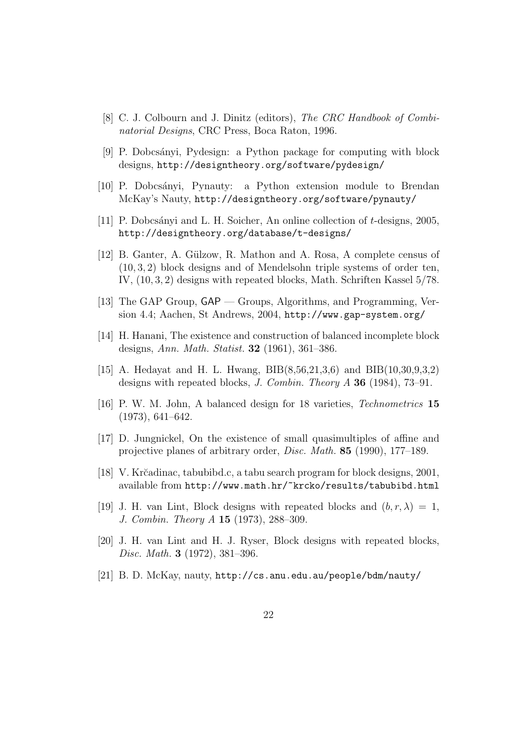- [8] C. J. Colbourn and J. Dinitz (editors), The CRC Handbook of Combinatorial Designs, CRC Press, Boca Raton, 1996.
- [9] P. Dobcs´anyi, Pydesign: a Python package for computing with block designs, http://designtheory.org/software/pydesign/
- [10] P. Dobcsányi, Pynauty: a Python extension module to Brendan McKay's Nauty, http://designtheory.org/software/pynauty/
- [11] P. Dobcs´anyi and L. H. Soicher, An online collection of t-designs, 2005, http://designtheory.org/database/t-designs/
- [12] B. Ganter, A. Gülzow, R. Mathon and A. Rosa, A complete census of (10, 3, 2) block designs and of Mendelsohn triple systems of order ten, IV, (10, 3, 2) designs with repeated blocks, Math. Schriften Kassel 5/78.
- [13] The GAP Group, GAP Groups, Algorithms, and Programming, Version 4.4; Aachen, St Andrews, 2004, http://www.gap-system.org/
- [14] H. Hanani, The existence and construction of balanced incomplete block designs, Ann. Math. Statist. 32 (1961), 361–386.
- [15] A. Hedayat and H. L. Hwang, BIB(8,56,21,3,6) and BIB(10,30,9,3,2) designs with repeated blocks, *J. Combin. Theory A* **36** (1984), 73–91.
- [16] P. W. M. John, A balanced design for 18 varieties, Technometrics 15 (1973), 641–642.
- [17] D. Jungnickel, On the existence of small quasimultiples of affine and projective planes of arbitrary order, Disc. Math. 85 (1990), 177–189.
- [18] V. Kr˘cadinac, tabubibd.c, a tabu search program for block designs, 2001, available from http://www.math.hr/~krcko/results/tabubibd.html
- [19] J. H. van Lint, Block designs with repeated blocks and  $(b, r, \lambda) = 1$ , J. Combin. Theory A 15 (1973), 288–309.
- [20] J. H. van Lint and H. J. Ryser, Block designs with repeated blocks, Disc. Math. 3 (1972), 381–396.
- [21] B. D. McKay, nauty, http://cs.anu.edu.au/people/bdm/nauty/